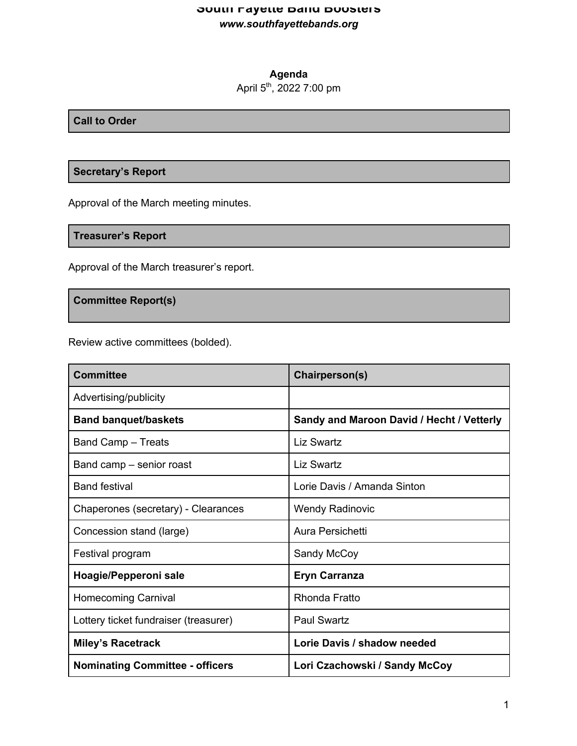## **South Fayette Band Boosters** *www.southfayettebands.org*

# **Agenda**

April 5<sup>th</sup>, 2022 7:00 pm

### **Call to Order**

## **Secretary's Report**

Approval of the March meeting minutes.

**Treasurer's Report**

Approval of the March treasurer's report.

**Committee Report(s)**

Review active committees (bolded).

| <b>Committee</b>                       | Chairperson(s)                            |
|----------------------------------------|-------------------------------------------|
| Advertising/publicity                  |                                           |
| <b>Band banquet/baskets</b>            | Sandy and Maroon David / Hecht / Vetterly |
| <b>Band Camp - Treats</b>              | Liz Swartz                                |
| Band camp – senior roast               | <b>Liz Swartz</b>                         |
| <b>Band festival</b>                   | Lorie Davis / Amanda Sinton               |
| Chaperones (secretary) - Clearances    | <b>Wendy Radinovic</b>                    |
| Concession stand (large)               | Aura Persichetti                          |
| Festival program                       | Sandy McCoy                               |
| Hoagie/Pepperoni sale                  | <b>Eryn Carranza</b>                      |
| <b>Homecoming Carnival</b>             | Rhonda Fratto                             |
| Lottery ticket fundraiser (treasurer)  | <b>Paul Swartz</b>                        |
| <b>Miley's Racetrack</b>               | Lorie Davis / shadow needed               |
| <b>Nominating Committee - officers</b> | Lori Czachowski / Sandy McCoy             |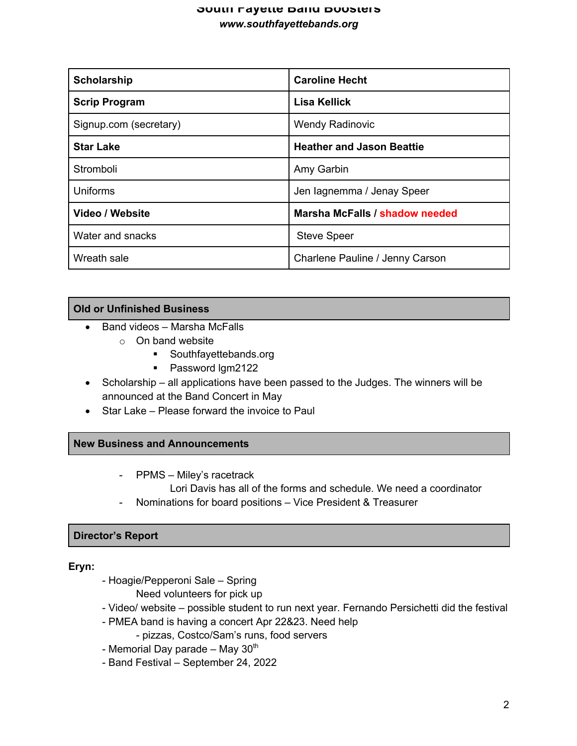## **South Fayette Band Boosters** *www.southfayettebands.org*

| <b>Scholarship</b>     | <b>Caroline Hecht</b>            |
|------------------------|----------------------------------|
| <b>Scrip Program</b>   | Lisa Kellick                     |
| Signup.com (secretary) | <b>Wendy Radinovic</b>           |
| <b>Star Lake</b>       | <b>Heather and Jason Beattie</b> |
| Stromboli              | Amy Garbin                       |
| Uniforms               | Jen lagnemma / Jenay Speer       |
| Video / Website        | Marsha McFalls / shadow needed   |
| Water and snacks       | <b>Steve Speer</b>               |
| Wreath sale            | Charlene Pauline / Jenny Carson  |

## **Old or Unfinished Business**

- Band videos Marsha McFalls
	- o On band website
		- Southfayettebands.org
		- Password lgm2122
- Scholarship all applications have been passed to the Judges. The winners will be announced at the Band Concert in May
- Star Lake Please forward the invoice to Paul

#### **New Business and Announcements**

- PPMS – Miley's racetrack

Lori Davis has all of the forms and schedule. We need a coordinator

- Nominations for board positions – Vice President & Treasurer

#### **Director's Report**

#### **Eryn:**

- Hoagie/Pepperoni Sale Spring
	- Need volunteers for pick up
- Video/ website possible student to run next year. Fernando Persichetti did the festival
- PMEA band is having a concert Apr 22&23. Need help
	- pizzas, Costco/Sam's runs, food servers
- Memorial Day parade May  $30<sup>th</sup>$
- Band Festival September 24, 2022